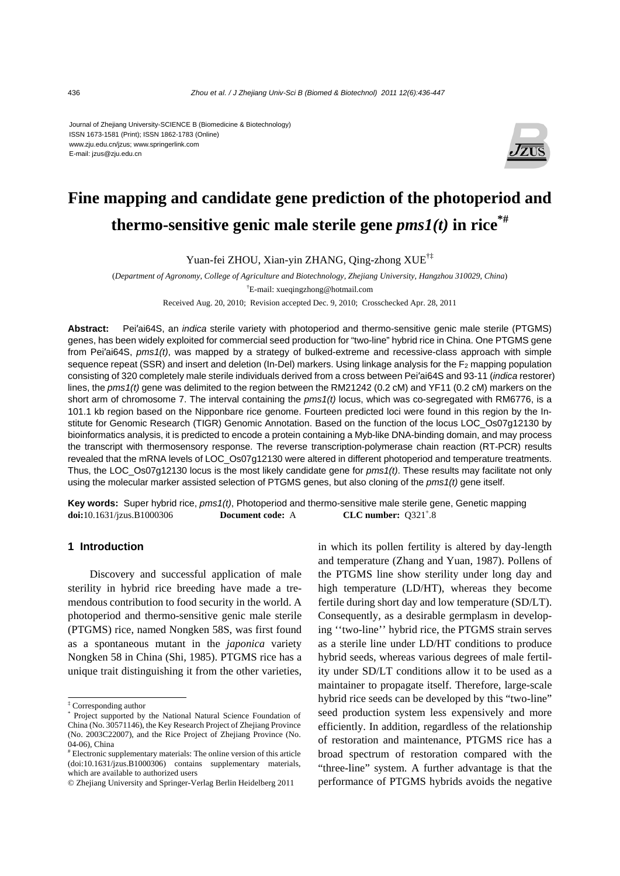#### Journal of Zhejiang University-SCIENCE B (Biomedicine & Biotechnology) ISSN 1673-1581 (Print); ISSN 1862-1783 (Online) www.zju.edu.cn/jzus; www.springerlink.com E-mail: jzus@zju.edu.cn



# **Fine mapping and candidate gene prediction of the photoperiod and thermo-sensitive genic male sterile gene**  $pms1(t)$  **in rice<sup>\*#</sup>**

Yuan-fei ZHOU, Xian-yin ZHANG, Qing-zhong XUE†‡

(*Department of Agronomy, College of Agriculture and Biotechnology, Zhejiang University, Hangzhou 310029, China*) † E-mail: xueqingzhong@hotmail.com

Received Aug. 20, 2010; Revision accepted Dec. 9, 2010; Crosschecked Apr. 28, 2011

**Abstract:** Pei′ai64S, an *indica* sterile variety with photoperiod and thermo-sensitive genic male sterile (PTGMS) genes, has been widely exploited for commercial seed production for "two-line" hybrid rice in China. One PTGMS gene from Pei′ai64S, *pms1(t)*, was mapped by a strategy of bulked-extreme and recessive-class approach with simple sequence repeat (SSR) and insert and deletion (In-Del) markers. Using linkage analysis for the  $F_2$  mapping population consisting of 320 completely male sterile individuals derived from a cross between Pei′ai64S and 93-11 (*indica* restorer) lines, the *pms1(t)* gene was delimited to the region between the RM21242 (0.2 cM) and YF11 (0.2 cM) markers on the short arm of chromosome 7. The interval containing the *pms1(t)* locus, which was co-segregated with RM6776, is a 101.1 kb region based on the Nipponbare rice genome. Fourteen predicted loci were found in this region by the Institute for Genomic Research (TIGR) Genomic Annotation. Based on the function of the locus LOC\_Os07g12130 by bioinformatics analysis, it is predicted to encode a protein containing a Myb-like DNA-binding domain, and may process the transcript with thermosensory response. The reverse transcription-polymerase chain reaction (RT-PCR) results revealed that the mRNA levels of LOC\_Os07g12130 were altered in different photoperiod and temperature treatments. Thus, the LOC\_Os07g12130 locus is the most likely candidate gene for *pms1(t)*. These results may facilitate not only using the molecular marker assisted selection of PTGMS genes, but also cloning of the *pms1(t)* gene itself.

**Key words:** Super hybrid rice, *pms1(t)*, Photoperiod and thermo-sensitive male sterile gene, Genetic mapping **doi:**10.1631/jzus.B1000306 **Document code:** A CLC number:  $Q321^{\circ}$ .8

#### **1 Introduction**

Discovery and successful application of male sterility in hybrid rice breeding have made a tremendous contribution to food security in the world. A photoperiod and thermo-sensitive genic male sterile (PTGMS) rice, named Nongken 58S, was first found as a spontaneous mutant in the *japonica* variety Nongken 58 in China (Shi, 1985). PTGMS rice has a unique trait distinguishing it from the other varieties,

in which its pollen fertility is altered by day-length and temperature (Zhang and Yuan, 1987). Pollens of the PTGMS line show sterility under long day and high temperature (LD/HT), whereas they become fertile during short day and low temperature (SD/LT). Consequently, as a desirable germplasm in developing ''two-line'' hybrid rice, the PTGMS strain serves as a sterile line under LD/HT conditions to produce hybrid seeds, whereas various degrees of male fertility under SD/LT conditions allow it to be used as a maintainer to propagate itself. Therefore, large-scale hybrid rice seeds can be developed by this "two-line" seed production system less expensively and more efficiently. In addition, regardless of the relationship of restoration and maintenance, PTGMS rice has a broad spectrum of restoration compared with the "three-line" system. A further advantage is that the performance of PTGMS hybrids avoids the negative

<sup>&</sup>lt;sup>‡</sup> Corresponding author<br><sup>\*</sup> Project supported by

Project supported by the National Natural Science Foundation of China (No. 30571146), the Key Research Project of Zhejiang Province (No. 2003C22007), and the Rice Project of Zhejiang Province (No. 04-06), China

<sup>#</sup> Electronic supplementary materials: The online version of this article (doi:10.1631/jzus.B1000306) contains supplementary materials, which are available to authorized users

<sup>©</sup> Zhejiang University and Springer-Verlag Berlin Heidelberg 2011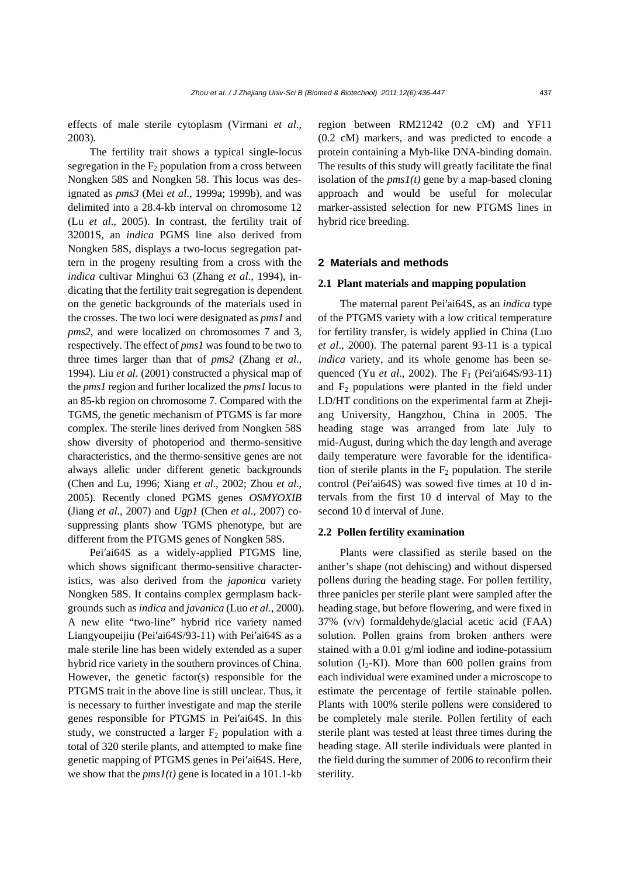effects of male sterile cytoplasm (Virmani *et al*., 2003).

The fertility trait shows a typical single-locus segregation in the  $F_2$  population from a cross between Nongken 58S and Nongken 58. This locus was designated as *pms3* (Mei *et al*., 1999a; 1999b), and was delimited into a 28.4-kb interval on chromosome 12 (Lu *et al*., 2005). In contrast, the fertility trait of 32001S, an *indica* PGMS line also derived from Nongken 58S, displays a two-locus segregation pattern in the progeny resulting from a cross with the *indica* cultivar Minghui 63 (Zhang *et al*., 1994), indicating that the fertility trait segregation is dependent on the genetic backgrounds of the materials used in the crosses. The two loci were designated as *pms1* and *pms2*, and were localized on chromosomes 7 and 3, respectively. The effect of *pms1* was found to be two to three times larger than that of *pms2* (Zhang *et al*., 1994). Liu *et al*. (2001) constructed a physical map of the *pms1* region and further localized the *pms1* locus to an 85-kb region on chromosome 7. Compared with the TGMS, the genetic mechanism of PTGMS is far more complex. The sterile lines derived from Nongken 58S show diversity of photoperiod and thermo-sensitive characteristics, and the thermo-sensitive genes are not always allelic under different genetic backgrounds (Chen and Lu, 1996; Xiang *et al*., 2002; Zhou *et al*., 2005). Recently cloned PGMS genes *OSMYOXIB* (Jiang *et al*., 2007) and *Ugp1* (Chen *et al*., 2007) cosuppressing plants show TGMS phenotype, but are different from the PTGMS genes of Nongken 58S.

Pei′ai64S as a widely-applied PTGMS line, which shows significant thermo-sensitive characteristics, was also derived from the *japonica* variety Nongken 58S. It contains complex germplasm backgrounds such as *indica* and *javanica* (Luo *et al*., 2000). A new elite "two-line" hybrid rice variety named Liangyoupeijiu (Pei′ai64S/93-11) with Pei′ai64S as a male sterile line has been widely extended as a super hybrid rice variety in the southern provinces of China. However, the genetic factor(s) responsible for the PTGMS trait in the above line is still unclear. Thus, it is necessary to further investigate and map the sterile genes responsible for PTGMS in Pei′ai64S. In this study, we constructed a larger  $F_2$  population with a total of 320 sterile plants, and attempted to make fine genetic mapping of PTGMS genes in Pei′ai64S. Here, we show that the *pms1(t)* gene is located in a 101.1-kb

region between RM21242 (0.2 cM) and YF11 (0.2 cM) markers, and was predicted to encode a protein containing a Myb-like DNA-binding domain. The results of this study will greatly facilitate the final isolation of the  $pms1(t)$  gene by a map-based cloning approach and would be useful for molecular marker-assisted selection for new PTGMS lines in hybrid rice breeding.

#### **2 Materials and methods**

#### **2.1 Plant materials and mapping population**

The maternal parent Pei′ai64S, as an *indica* type of the PTGMS variety with a low critical temperature for fertility transfer, is widely applied in China (Luo *et al*., 2000). The paternal parent 93-11 is a typical *indica* variety, and its whole genome has been sequenced (Yu *et al.*, 2002). The F<sub>1</sub> (Pei'ai64S/93-11) and  $F_2$  populations were planted in the field under LD/HT conditions on the experimental farm at Zhejiang University, Hangzhou, China in 2005. The heading stage was arranged from late July to mid-August, during which the day length and average daily temperature were favorable for the identification of sterile plants in the  $F_2$  population. The sterile control (Pei′ai64S) was sowed five times at 10 d intervals from the first 10 d interval of May to the second 10 d interval of June.

## **2.2 Pollen fertility examination**

Plants were classified as sterile based on the anther's shape (not dehiscing) and without dispersed pollens during the heading stage. For pollen fertility, three panicles per sterile plant were sampled after the heading stage, but before flowering, and were fixed in 37% (v/v) formaldehyde/glacial acetic acid (FAA) solution. Pollen grains from broken anthers were stained with a 0.01 g/ml iodine and iodine-potassium solution  $(I_2-KI)$ . More than 600 pollen grains from each individual were examined under a microscope to estimate the percentage of fertile stainable pollen. Plants with 100% sterile pollens were considered to be completely male sterile. Pollen fertility of each sterile plant was tested at least three times during the heading stage. All sterile individuals were planted in the field during the summer of 2006 to reconfirm their sterility.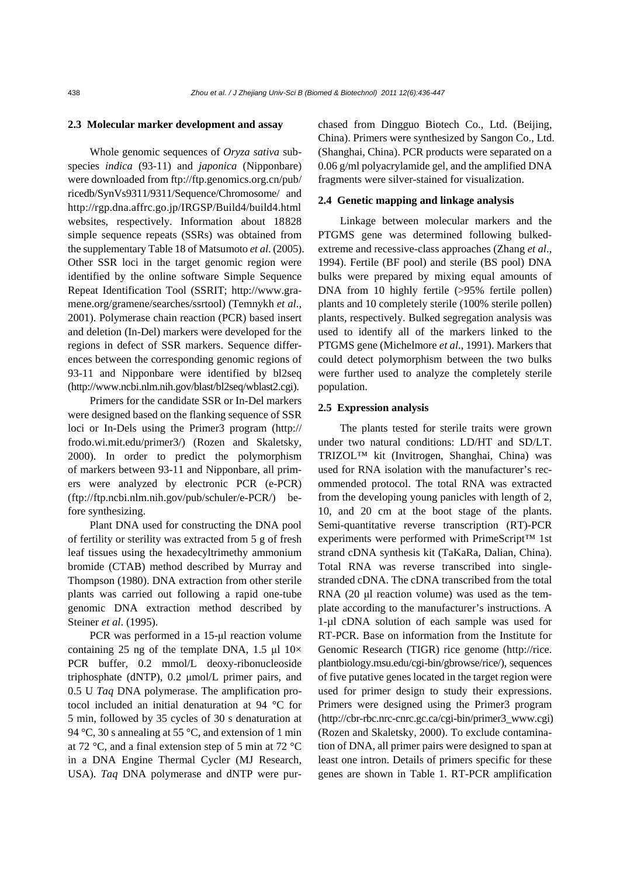#### **2.3 Molecular marker development and assay**

Whole genomic sequences of *Oryza sativa* subspecies *indica* (93-11) and *japonica* (Nipponbare) were downloaded from ftp://ftp.genomics.org.cn/pub/ ricedb/SynVs9311/9311/Sequence/Chromosome/ and http://rgp.dna.affrc.go.jp/IRGSP/Build4/build4.html websites, respectively. Information about 18828 simple sequence repeats (SSRs) was obtained from the supplementary Table 18 of Matsumoto *et al*. (2005). Other SSR loci in the target genomic region were identified by the online software Simple Sequence Repeat Identification Tool (SSRIT; http://www.gramene.org/gramene/searches/ssrtool) (Temnykh *et al*., 2001). Polymerase chain reaction (PCR) based insert and deletion (In-Del) markers were developed for the regions in defect of SSR markers. Sequence differences between the corresponding genomic regions of 93-11 and Nipponbare were identified by bl2seq (http://www.ncbi.nlm.nih.gov/blast/bl2seq/wblast2.cgi).

Primers for the candidate SSR or In-Del markers were designed based on the flanking sequence of SSR loci or In-Dels using the Primer3 program (http:// frodo.wi.mit.edu/primer3/) (Rozen and Skaletsky, 2000). In order to predict the polymorphism of markers between 93-11 and Nipponbare, all primers were analyzed by electronic PCR (e-PCR) (ftp://ftp.ncbi.nlm.nih.gov/pub/schuler/e-PCR/) before synthesizing.

Plant DNA used for constructing the DNA pool of fertility or sterility was extracted from 5 g of fresh leaf tissues using the hexadecyltrimethy ammonium bromide (CTAB) method described by Murray and Thompson (1980). DNA extraction from other sterile plants was carried out following a rapid one-tube genomic DNA extraction method described by Steiner *et al*. (1995).

PCR was performed in a 15-μl reaction volume containing 25 ng of the template DNA, 1.5 μl  $10\times$ PCR buffer, 0.2 mmol/L deoxy-ribonucleoside triphosphate (dNTP), 0.2 μmol/L primer pairs, and 0.5 U *Taq* DNA polymerase. The amplification protocol included an initial denaturation at 94 °C for 5 min, followed by 35 cycles of 30 s denaturation at 94 °C, 30 s annealing at 55 °C, and extension of 1 min at 72 °C, and a final extension step of 5 min at 72 °C in a DNA Engine Thermal Cycler (MJ Research, USA). *Taq* DNA polymerase and dNTP were purchased from Dingguo Biotech Co., Ltd. (Beijing, China). Primers were synthesized by Sangon Co., Ltd. (Shanghai, China). PCR products were separated on a 0.06 g/ml polyacrylamide gel, and the amplified DNA fragments were silver-stained for visualization.

#### **2.4 Genetic mapping and linkage analysis**

Linkage between molecular markers and the PTGMS gene was determined following bulkedextreme and recessive-class approaches (Zhang *et al*., 1994). Fertile (BF pool) and sterile (BS pool) DNA bulks were prepared by mixing equal amounts of DNA from 10 highly fertile (>95% fertile pollen) plants and 10 completely sterile (100% sterile pollen) plants, respectively. Bulked segregation analysis was used to identify all of the markers linked to the PTGMS gene (Michelmore *et al*., 1991). Markers that could detect polymorphism between the two bulks were further used to analyze the completely sterile population.

## **2.5 Expression analysis**

The plants tested for sterile traits were grown under two natural conditions: LD/HT and SD/LT. TRIZOL™ kit (Invitrogen, Shanghai, China) was used for RNA isolation with the manufacturer's recommended protocol. The total RNA was extracted from the developing young panicles with length of 2, 10, and 20 cm at the boot stage of the plants. Semi-quantitative reverse transcription (RT)-PCR experiments were performed with PrimeScript™ 1st strand cDNA synthesis kit (TaKaRa, Dalian, China). Total RNA was reverse transcribed into singlestranded cDNA. The cDNA transcribed from the total RNA (20 μl reaction volume) was used as the template according to the manufacturer's instructions. A 1-µl cDNA solution of each sample was used for RT-PCR. Base on information from the Institute for Genomic Research (TIGR) rice genome (http://rice. plantbiology.msu.edu/cgi-bin/gbrowse/rice/), sequences of five putative genes located in the target region were used for primer design to study their expressions. Primers were designed using the Primer3 program (http://cbr-rbc.nrc-cnrc.gc.ca/cgi-bin/primer3\_www.cgi) (Rozen and Skaletsky, 2000). To exclude contamination of DNA, all primer pairs were designed to span at least one intron. Details of primers specific for these genes are shown in Table 1. RT-PCR amplification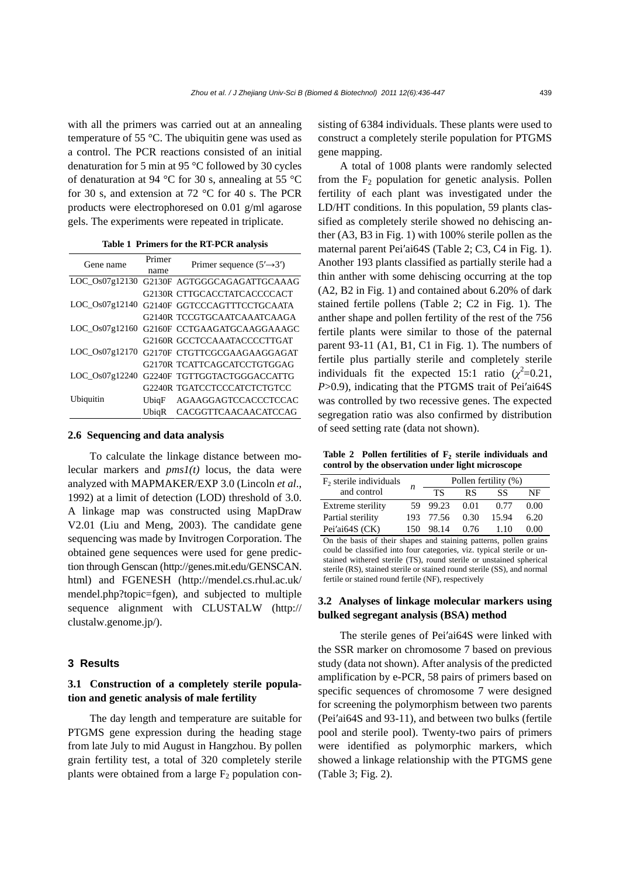with all the primers was carried out at an annealing temperature of 55 °C. The ubiquitin gene was used as a control. The PCR reactions consisted of an initial denaturation for 5 min at 95 °C followed by 30 cycles of denaturation at 94 °C for 30 s, annealing at 55 °C for 30 s, and extension at 72 °C for 40 s. The PCR products were electrophoresed on 0.01 g/ml agarose gels. The experiments were repeated in triplicate.

| Table 1 Primers for the RT-PCR analysis |  |
|-----------------------------------------|--|
|-----------------------------------------|--|

| Gene name      | Primer<br>name | Primer sequence $(5' \rightarrow 3')$ |
|----------------|----------------|---------------------------------------|
| LOC_Os07g12130 |                | G2130F AGTGGGCAGAGATTGCAAAG           |
|                |                | G2130R CTTGCACCTATCACCCCACT           |
| LOC Os07g12140 |                | G2140F GGTCCCAGTTTCCTGCAATA           |
|                |                | G2140R TCCGTGCAATCAAATCAAGA           |
| LOC Os07g12160 |                | G2160F CCTGAAGATGCAAGGAAAGC           |
|                |                | G2160R GCCTCCAAATACCCCTTGAT           |
| LOC Os07g12170 |                | G2170F CTGTTCGCGAAGAAGGAGAT           |
|                |                | G2170R TCATTCAGCATCCTGTGGAG           |
| LOC Os07g12240 |                | G2240F TGTTGGTACTGGGACCATTG           |
|                |                | G2240R TGATCCTCCCATCTCTGTCC           |
| Ubiquitin      | UbiqF          | AGAAGGAGTCCACCCTCCAC                  |
|                | UbiqR          | CACGGTTCAACAACATCCAG                  |

#### **2.6 Sequencing and data analysis**

To calculate the linkage distance between molecular markers and *pms1(t)* locus, the data were analyzed with MAPMAKER/EXP 3.0 (Lincoln *et al*., 1992) at a limit of detection (LOD) threshold of 3.0. A linkage map was constructed using MapDraw V2.01 (Liu and Meng, 2003). The candidate gene sequencing was made by Invitrogen Corporation. The obtained gene sequences were used for gene prediction through Genscan (http://genes.mit.edu/GENSCAN. html) and FGENESH (http://mendel.cs.rhul.ac.uk/ mendel.php?topic=fgen), and subjected to multiple sequence alignment with CLUSTALW (http:// clustalw.genome.jp/).

### **3 Results**

# **3.1 Construction of a completely sterile population and genetic analysis of male fertility**

The day length and temperature are suitable for PTGMS gene expression during the heading stage from late July to mid August in Hangzhou. By pollen grain fertility test, a total of 320 completely sterile plants were obtained from a large  $F_2$  population consisting of 6384 individuals. These plants were used to construct a completely sterile population for PTGMS gene mapping.

A total of 1008 plants were randomly selected from the  $F_2$  population for genetic analysis. Pollen fertility of each plant was investigated under the LD/HT conditions. In this population, 59 plants classified as completely sterile showed no dehiscing anther (A3, B3 in Fig. 1) with 100% sterile pollen as the maternal parent Pei′ai64S (Table 2; C3, C4 in Fig. 1). Another 193 plants classified as partially sterile had a thin anther with some dehiscing occurring at the top (A2, B2 in Fig. 1) and contained about 6.20% of dark stained fertile pollens (Table 2; C2 in Fig. 1). The anther shape and pollen fertility of the rest of the 756 fertile plants were similar to those of the paternal parent 93-11 (A1, B1, C1 in Fig. 1). The numbers of fertile plus partially sterile and completely sterile individuals fit the expected 15:1 ratio  $(\chi^2=0.21,$ *P*>0.9), indicating that the PTGMS trait of Pei'ai64S was controlled by two recessive genes. The expected segregation ratio was also confirmed by distribution of seed setting rate (data not shown).

Table 2 Pollen fertilities of F<sub>2</sub> sterile individuals and **control by the observation under light microscope** 

| $F2$ sterile individuals |      | Pollen fertility (%) |           |       |      |  |  |  |
|--------------------------|------|----------------------|-----------|-------|------|--|--|--|
| and control              | n    | ТS                   | <b>RS</b> | SS    | NF   |  |  |  |
| Extreme sterility        |      | 59 99.23             | 0.01      | 0.77  | 0.00 |  |  |  |
| Partial sterility        |      | 193 77.56            | 0.30      | 15.94 | 6.20 |  |  |  |
| Pei'ai64S (CK)           | 150. | 98.14                | 0.76      | 110   | 0.00 |  |  |  |

On the basis of their shapes and staining patterns, pollen grains could be classified into four categories, viz. typical sterile or unstained withered sterile (TS), round sterile or unstained spherical sterile (RS), stained sterile or stained round sterile (SS), and normal fertile or stained round fertile (NF), respectively

# **3.2 Analyses of linkage molecular markers using bulked segregant analysis (BSA) method**

The sterile genes of Pei′ai64S were linked with the SSR marker on chromosome 7 based on previous study (data not shown). After analysis of the predicted amplification by e-PCR, 58 pairs of primers based on specific sequences of chromosome 7 were designed for screening the polymorphism between two parents (Pei′ai64S and 93-11), and between two bulks (fertile pool and sterile pool). Twenty-two pairs of primers were identified as polymorphic markers, which showed a linkage relationship with the PTGMS gene (Table 3; Fig. 2).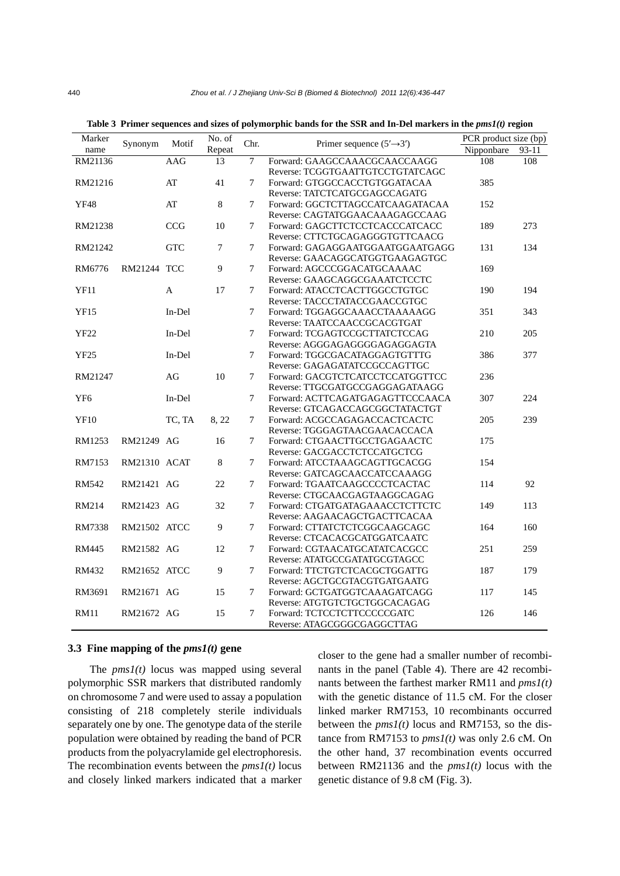| Marker<br>Synonym |                     | Motif      | $\overline{\text{No}}$ . of | Chr.           | Primer sequence $(5' \rightarrow 3')$ | PCR product size (bp) |     |
|-------------------|---------------------|------------|-----------------------------|----------------|---------------------------------------|-----------------------|-----|
| name              |                     | Repeat     |                             | Nipponbare     | $93 - 11$                             |                       |     |
| RM21136           |                     | AAG        | 13                          | 7              | Forward: GAAGCCAAACGCAACCAAGG         | 108                   | 108 |
|                   |                     |            |                             |                | Reverse: TCGGTGAATTGTCCTGTATCAGC      |                       |     |
| RM21216           |                     | AT         | 41                          | 7              | Forward: GTGGCCACCTGTGGATACAA         | 385                   |     |
|                   |                     |            |                             |                | Reverse: TATCTCATGCGAGCCAGATG         |                       |     |
| <b>YF48</b>       |                     | AT         | $\,8\,$                     | 7              | Forward: GGCTCTTAGCCATCAAGATACAA      | 152                   |     |
|                   |                     |            |                             |                | Reverse: CAGTATGGAACAAAGAGCCAAG       |                       |     |
| RM21238           |                     | <b>CCG</b> | 10                          | 7              | Forward: GAGCTTCTCCTCACCCATCACC       | 189                   | 273 |
|                   |                     |            |                             |                | Reverse: CTTCTGCAGAGGGTGTTCAACG       |                       |     |
| RM21242           |                     | <b>GTC</b> | 7                           | 7              | Forward: GAGAGGAATGGAATGGAATGAGG      | 131                   | 134 |
|                   |                     |            |                             |                | Reverse: GAACAGGCATGGTGAAGAGTGC       |                       |     |
| RM6776            | <b>RM21244 TCC</b>  |            | 9                           | 7              | Forward: AGCCCGGACATGCAAAAC           | 169                   |     |
|                   |                     |            |                             |                | Reverse: GAAGCAGGCGAAATCTCCTC         |                       |     |
| <b>YF11</b>       |                     | A          | 17                          | 7              | Forward: ATACCTCACTTGGCCTGTGC         | 190                   | 194 |
|                   |                     |            |                             |                | Reverse: TACCCTATACCGAACCGTGC         |                       |     |
| <b>YF15</b>       |                     | In-Del     |                             | 7              | Forward: TGGAGGCAAACCTAAAAAGG         | 351                   | 343 |
|                   |                     |            |                             |                | Reverse: TAATCCAACCGCACGTGAT          |                       |     |
| YF22              |                     | In-Del     |                             | 7              | Forward: TCGAGTCCGCTTATCTCCAG         | 210                   | 205 |
|                   |                     |            |                             |                | Reverse: AGGGAGAGGGGAGAGGAGTA         |                       |     |
| <b>YF25</b>       |                     | In-Del     |                             | 7              | Forward: TGGCGACATAGGAGTGTTTG         | 386                   | 377 |
|                   |                     |            |                             |                | Reverse: GAGAGATATCCGCCAGTTGC         |                       |     |
| RM21247           |                     | AG         | 10                          | 7              | Forward: GACGTCTCATCCTCCATGGTTCC      | 236                   |     |
|                   |                     |            |                             |                | Reverse: TTGCGATGCCGAGGAGATAAGG       |                       |     |
| YF <sub>6</sub>   |                     | In-Del     |                             | $\tau$         | Forward: ACTTCAGATGAGAGTTCCCAACA      | 307                   | 224 |
|                   |                     |            |                             |                | Reverse: GTCAGACCAGCGGCTATACTGT       |                       |     |
| <b>YF10</b>       |                     | TC, TA     | 8, 22                       | 7              | Forward: ACGCCAGAGACCACTCACTC         | 205                   | 239 |
|                   |                     |            |                             |                | Reverse: TGGGAGTAACGAACACCACA         |                       |     |
| RM1253            | RM21249 AG          |            | 16                          | 7              | Forward: CTGAACTTGCCTGAGAACTC         | 175                   |     |
|                   |                     |            |                             |                | Reverse: GACGACCTCTCCATGCTCG          |                       |     |
| RM7153            | <b>RM21310 ACAT</b> |            | $\,8\,$                     | 7              | Forward: ATCCTAAAGCAGTTGCACGG         | 154                   |     |
|                   |                     |            |                             |                | Reverse: GATCAGCAACCATCCAAAGG         |                       |     |
| <b>RM542</b>      | RM21421 AG          |            | 22                          | 7              | Forward: TGAATCAAGCCCCTCACTAC         | 114                   | 92  |
|                   |                     |            |                             |                | Reverse: CTGCAACGAGTAAGGCAGAG         |                       |     |
| RM214             | RM21423 AG          |            | 32                          | 7              | Forward: CTGATGATAGAAACCTCTTCTC       | 149                   | 113 |
|                   |                     |            |                             |                | Reverse: AAGAACAGCTGACTTCACAA         |                       |     |
| RM7338            | <b>RM21502 ATCC</b> |            | 9                           | 7              | Forward: CTTATCTCTCGGCAAGCAGC         | 164                   | 160 |
|                   |                     |            |                             |                | Reverse: CTCACACGCATGGATCAATC         |                       |     |
| <b>RM445</b>      | RM21582 AG          |            | 12                          | $\overline{7}$ | Forward: CGTAACATGCATATCACGCC         | 251                   | 259 |
|                   |                     |            |                             |                | Reverse: ATATGCCGATATGCGTAGCC         |                       |     |
| RM432             | <b>RM21652 ATCC</b> |            | 9                           | 7              | Forward: TTCTGTCTCACGCTGGATTG         | 187                   | 179 |
|                   |                     |            |                             |                | Reverse: AGCTGCGTACGTGATGAATG         |                       |     |
| RM3691            | RM21671 AG          |            | 15                          | 7              | Forward: GCTGATGGTCAAAGATCAGG         | 117                   | 145 |
|                   |                     |            |                             |                | Reverse: ATGTGTCTGCTGGCACAGAG         |                       |     |
| <b>RM11</b>       | RM21672 AG          |            | 15                          | 7              | Forward: TCTCCTCTTCCCCCGATC           | 126                   | 146 |
|                   |                     |            |                             |                | Reverse: ATAGCGGGCGAGGCTTAG           |                       |     |

Table 3 Primer sequences and sizes of polymorphic bands for the SSR and In-Del markers in the  $pms1(t)$  region

## **3.3 Fine mapping of the** *pms1(t)* **gene**

The  $pms1(t)$  locus was mapped using several polymorphic SSR markers that distributed randomly on chromosome 7 and were used to assay a population consisting of 218 completely sterile individuals separately one by one. The genotype data of the sterile population were obtained by reading the band of PCR products from the polyacrylamide gel electrophoresis. The recombination events between the *pms1(t)* locus and closely linked markers indicated that a marker closer to the gene had a smaller number of recombinants in the panel (Table 4). There are 42 recombinants between the farthest marker RM11 and *pms1(t)* with the genetic distance of 11.5 cM. For the closer linked marker RM7153, 10 recombinants occurred between the  $pms1(t)$  locus and RM7153, so the distance from RM7153 to  $pms1(t)$  was only 2.6 cM. On the other hand, 37 recombination events occurred between RM21136 and the *pms1(t)* locus with the genetic distance of 9.8 cM (Fig. 3).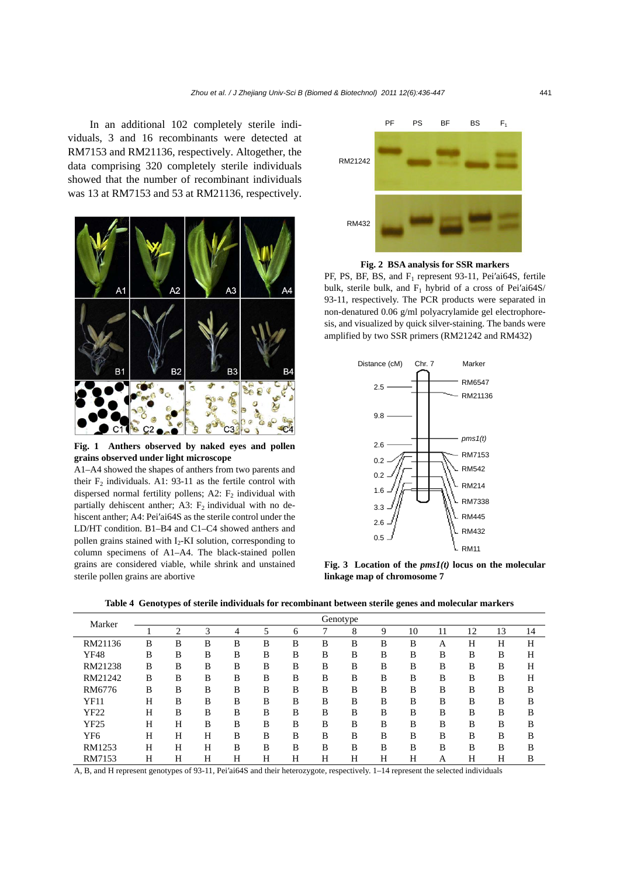In an additional 102 completely sterile individuals, 3 and 16 recombinants were detected at RM7153 and RM21136, respectively. Altogether, the data comprising 320 completely sterile individuals showed that the number of recombinant individuals was 13 at RM7153 and 53 at RM21136, respectively.



**Fig. 1 Anthers observed by naked eyes and pollen grains observed under light microscope** 

A1–A4 showed the shapes of anthers from two parents and their  $F_2$  individuals. A1: 93-11 as the fertile control with dispersed normal fertility pollens; A2:  $F<sub>2</sub>$  individual with partially dehiscent anther; A3:  $F_2$  individual with no dehiscent anther; A4: Pei′ai64S as the sterile control under the LD/HT condition. B1–B4 and C1–C4 showed anthers and pollen grains stained with  $I_2$ -KI solution, corresponding to column specimens of A1–A4. The black-stained pollen grains are considered viable, while shrink and unstained sterile pollen grains are abortive



**Fig. 2 BSA analysis for SSR markers** 

PF, PS, BF, BS, and F<sub>1</sub> represent 93-11, Pei'ai64S, fertile bulk, sterile bulk, and  $F_1$  hybrid of a cross of Pei'ai64S/ 93-11, respectively. The PCR products were separated in non-denatured 0.06 g/ml polyacrylamide gel electrophoresis, and visualized by quick silver-staining. The bands were amplified by two SSR primers (RM21242 and RM432)



**Fig. 3 Location of the** *pms1(t)* **locus on the molecular linkage map of chromosome 7** 

**Table 4 Genotypes of sterile individuals for recombinant between sterile genes and molecular markers** 

| Marker      |   |   |   |   |   |   |   | Genotype |   |    |    |    |    |    |
|-------------|---|---|---|---|---|---|---|----------|---|----|----|----|----|----|
|             |   | 2 | 3 | 4 | 5 | 6 |   | 8        | 9 | 10 | 11 | 12 | 13 | 14 |
| RM21136     | B | B | B | B | B | B | B | B        | B | B  | Α  | Н  | Н  | H  |
| <b>YF48</b> | B | B | B | B | B | B | B | B        | B | B  | B  | B  | B  | Н  |
| RM21238     | B | B | B | B | B | B | B | B        | B | B  | B  | B  | B  | Н  |
| RM21242     | B | B | B | B | B | B | B | B        | B | B  | B  | B  | B  | Н  |
| RM6776      | B | B | B | B | B | B | B | B        | B | B  | B  | B  | B  | B  |
| <b>YF11</b> | Н | B | B | B | B | B | B | B        | B | B  | B  | B  | B  | B  |
| YF22        | Н | B | B | B | B | B | B | B        | B | B  | B  | B  | B  | B  |
| YF25        | Н | H | B | B | B | B | B | B        | B | B  | B  | B  | B  | B  |
| YF6         | Н | H | H | B | B | B | B | B        | B | B  | B  | B  | B  | B  |
| RM1253      | Н | Н | Н | B | B | B | B | B        | B | B  | B  | B  | B  | B  |
| RM7153      | Н | H | Н | Н | Н | Н | Н | Н        | H | H  | Α  | Н  | Н  | B  |

A, B, and H represent genotypes of 93-11, Pei′ai64S and their heterozygote, respectively. 1–14 represent the selected individuals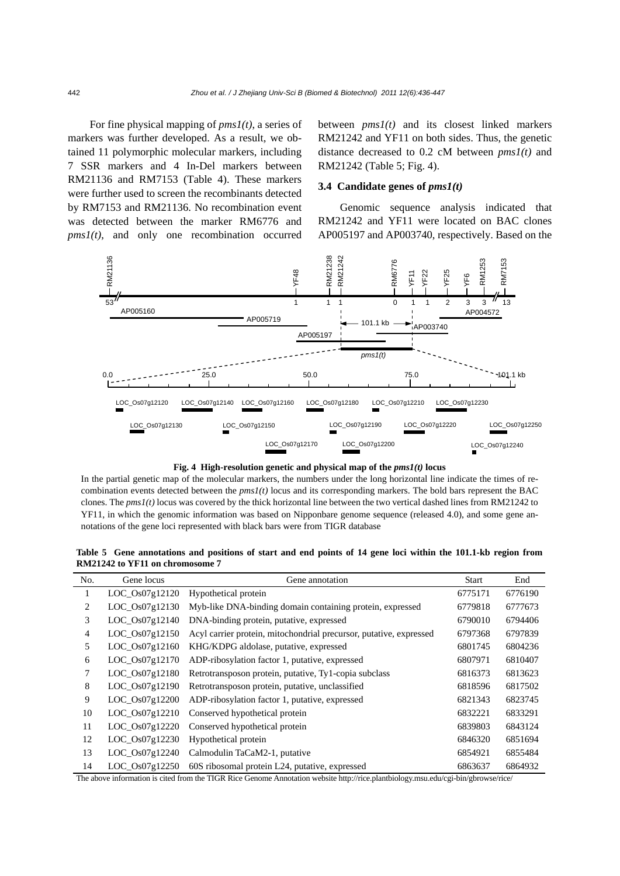For fine physical mapping of *pms1(t)*, a series of markers was further developed. As a result, we obtained 11 polymorphic molecular markers, including 7 SSR markers and 4 In-Del markers between RM21136 and RM7153 (Table 4). These markers were further used to screen the recombinants detected by RM7153 and RM21136. No recombination event was detected between the marker RM6776 and  $pms1(t)$ , and only one recombination occurred

between *pms1(t)* and its closest linked markers RM21242 and YF11 on both sides. Thus, the genetic distance decreased to 0.2 cM between *pms1(t)* and RM21242 (Table 5; Fig. 4).

# **3.4 Candidate genes of** *pms1(t)*

Genomic sequence analysis indicated that RM21242 and YF11 were located on BAC clones AP005197 and AP003740, respectively. Based on the





In the partial genetic map of the molecular markers, the numbers under the long horizontal line indicate the times of recombination events detected between the  $pms1(t)$  locus and its corresponding markers. The bold bars represent the BAC clones. The *pms1(t)* locus was covered by the thick horizontal line between the two vertical dashed lines from RM21242 to YF11, in which the genomic information was based on Nipponbare genome sequence (released 4.0), and some gene annotations of the gene loci represented with black bars were from TIGR database

**Table 5 Gene annotations and positions of start and end points of 14 gene loci within the 101.1-kb region from RM21242 to YF11 on chromosome 7** 

| No.            | Gene locus         | Gene annotation                                                    | <b>Start</b> | End     |
|----------------|--------------------|--------------------------------------------------------------------|--------------|---------|
| 1              | LOC_Os07g12120     | Hypothetical protein                                               | 6775171      | 6776190 |
| 2              | LOC_Os07g12130     | Myb-like DNA-binding domain containing protein, expressed          | 6779818      | 6777673 |
| 3              | LOC_Os07g12140     | DNA-binding protein, putative, expressed                           | 6790010      | 6794406 |
| $\overline{4}$ | $LOC_0s07g12150$   | Acyl carrier protein, mitochondrial precursor, putative, expressed | 6797368      | 6797839 |
| 5              | LOC_Os07g12160     | KHG/KDPG aldolase, putative, expressed                             | 6801745      | 6804236 |
| 6              | $LOC_0s07g12170$   | ADP-ribosylation factor 1, putative, expressed                     | 6807971      | 6810407 |
| 7              | $LOC_0s07g12180$   | Retrotransposon protein, putative, Ty1-copia subclass              | 6816373      | 6813623 |
| 8              | $LOC_0s07g12190$   | Retrotransposon protein, putative, unclassified                    | 6818596      | 6817502 |
| 9              | $LOC_0s07g12200$   | ADP-ribosylation factor 1, putative, expressed                     | 6821343      | 6823745 |
| 10             | $LOC_0s07g12210$   | Conserved hypothetical protein                                     | 6832221      | 6833291 |
| 11             | $LOC_0s07g12220$   | Conserved hypothetical protein                                     | 6839803      | 6843124 |
| 12             | $LOC_0s07g12230$   | Hypothetical protein                                               | 6846320      | 6851694 |
| 13             | LOC_Os07g12240     | Calmodulin TaCaM2-1, putative                                      | 6854921      | 6855484 |
| 14             | $LOC$ $Os07g12250$ | 60S ribosomal protein L24, putative, expressed                     | 6863637      | 6864932 |

The above information is cited from the TIGR Rice Genome Annotation website http://rice.plantbiology.msu.edu/cgi-bin/gbrowse/rice/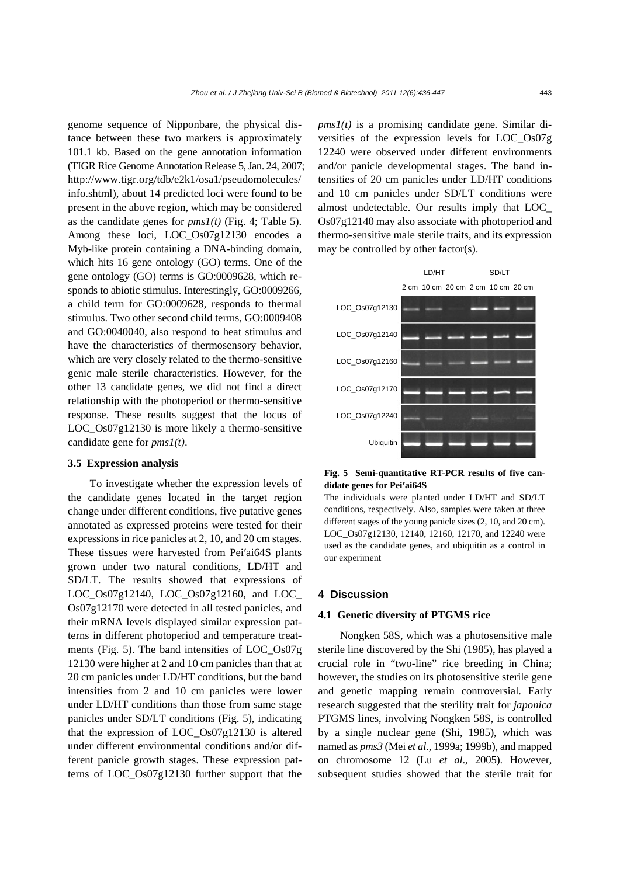genome sequence of Nipponbare, the physical distance between these two markers is approximately 101.1 kb. Based on the gene annotation information (TIGR Rice Genome Annotation Release 5, Jan. 24, 2007; http://www.tigr.org/tdb/e2k1/osa1/pseudomolecules/ info.shtml), about 14 predicted loci were found to be present in the above region, which may be considered as the candidate genes for *pms1(t)* (Fig. 4; Table 5). Among these loci, LOC Os07g12130 encodes a Myb-like protein containing a DNA-binding domain, which hits 16 gene ontology (GO) terms. One of the gene ontology (GO) terms is GO:0009628, which responds to abiotic stimulus. Interestingly, GO:0009266, a child term for GO:0009628, responds to thermal stimulus. Two other second child terms, GO:0009408 and GO:0040040, also respond to heat stimulus and have the characteristics of thermosensory behavior, which are very closely related to the thermo-sensitive genic male sterile characteristics. However, for the other 13 candidate genes, we did not find a direct relationship with the photoperiod or thermo-sensitive response. These results suggest that the locus of LOC Os07g12130 is more likely a thermo-sensitive candidate gene for *pms1(t)*.

#### **3.5 Expression analysis**

To investigate whether the expression levels of the candidate genes located in the target region change under different conditions, five putative genes annotated as expressed proteins were tested for their expressions in rice panicles at 2, 10, and 20 cm stages. These tissues were harvested from Pei′ai64S plants grown under two natural conditions, LD/HT and SD/LT. The results showed that expressions of LOC\_Os07g12140, LOC\_Os07g12160, and LOC\_ Os07g12170 were detected in all tested panicles, and their mRNA levels displayed similar expression patterns in different photoperiod and temperature treatments (Fig. 5). The band intensities of LOC\_Os07g 12130 were higher at 2 and 10 cm panicles than that at 20 cm panicles under LD/HT conditions, but the band intensities from 2 and 10 cm panicles were lower under LD/HT conditions than those from same stage panicles under SD/LT conditions (Fig. 5), indicating that the expression of LOC\_Os07g12130 is altered under different environmental conditions and/or different panicle growth stages. These expression patterns of LOC\_Os07g12130 further support that the

*pms1(t)* is a promising candidate gene*.* Similar diversities of the expression levels for LOC\_Os07g 12240 were observed under different environments and/or panicle developmental stages. The band intensities of 20 cm panicles under LD/HT conditions and 10 cm panicles under SD/LT conditions were almost undetectable. Our results imply that LOC\_ Os07g12140 may also associate with photoperiod and thermo-sensitive male sterile traits, and its expression may be controlled by other factor(s).



**Fig. 5 Semi-quantitative RT-PCR results of five candidate genes for Pei′ai64S** 

The individuals were planted under LD/HT and SD/LT conditions, respectively. Also, samples were taken at three different stages of the young panicle sizes (2, 10, and 20 cm). LOC\_Os07g12130, 12140, 12160, 12170, and 12240 were used as the candidate genes, and ubiquitin as a control in our experiment

#### **4 Discussion**

#### **4.1 Genetic diversity of PTGMS rice**

Nongken 58S, which was a photosensitive male sterile line discovered by the Shi (1985), has played a crucial role in "two-line" rice breeding in China; however, the studies on its photosensitive sterile gene and genetic mapping remain controversial. Early research suggested that the sterility trait for *japonica* PTGMS lines, involving Nongken 58S, is controlled by a single nuclear gene (Shi, 1985), which was named as *pms3* (Mei *et al*., 1999a; 1999b), and mapped on chromosome 12 (Lu *et al*., 2005). However, subsequent studies showed that the sterile trait for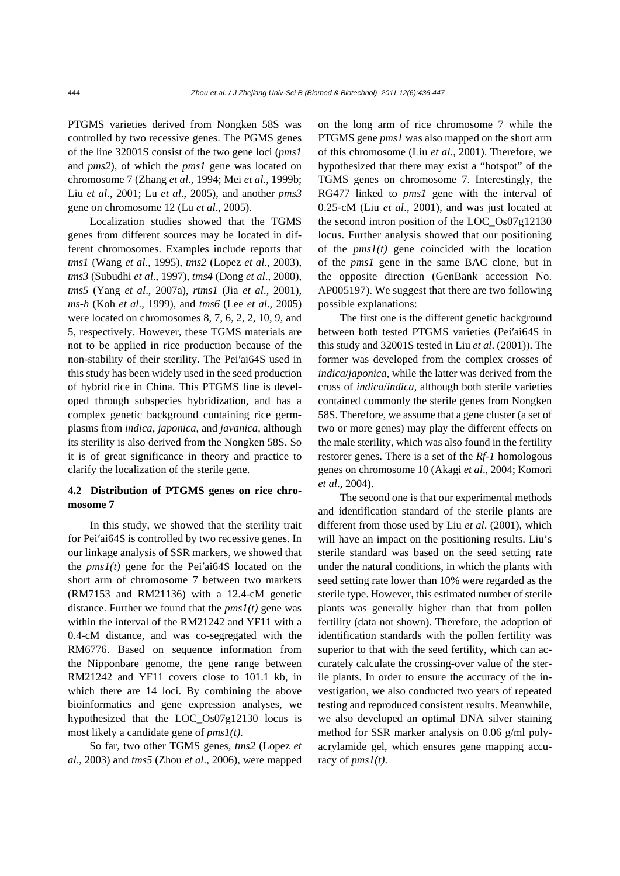PTGMS varieties derived from Nongken 58S was controlled by two recessive genes. The PGMS genes of the line 32001S consist of the two gene loci (*pms1* and *pms2*), of which the *pms1* gene was located on chromosome 7 (Zhang *et al*., 1994; Mei *et al*., 1999b; Liu *et al*., 2001; Lu *et al*., 2005), and another *pms3* gene on chromosome 12 (Lu *et al*., 2005).

Localization studies showed that the TGMS genes from different sources may be located in different chromosomes. Examples include reports that *tms1* (Wang *et al*., 1995), *tms2* (Lopez *et al*., 2003), *tms3* (Subudhi *et al*., 1997), *tms4* (Dong *et al*., 2000), *tms5* (Yang *et al*., 2007a), *rtms1* (Jia *et al*., 2001), *ms-h* (Koh *et al*., 1999), and *tms6* (Lee *et al*., 2005) were located on chromosomes 8, 7, 6, 2, 2, 10, 9, and 5, respectively. However, these TGMS materials are not to be applied in rice production because of the non-stability of their sterility. The Pei′ai64S used in this study has been widely used in the seed production of hybrid rice in China. This PTGMS line is developed through subspecies hybridization, and has a complex genetic background containing rice germplasms from *indica*, *japonica*, and *javanica*, although its sterility is also derived from the Nongken 58S. So it is of great significance in theory and practice to clarify the localization of the sterile gene.

# **4.2 Distribution of PTGMS genes on rice chromosome 7**

In this study, we showed that the sterility trait for Pei′ai64S is controlled by two recessive genes. In our linkage analysis of SSR markers, we showed that the  $pmsI(t)$  gene for the Pei'ai64S located on the short arm of chromosome 7 between two markers (RM7153 and RM21136) with a 12.4-cM genetic distance. Further we found that the *pms1(t)* gene was within the interval of the RM21242 and YF11 with a 0.4-cM distance, and was co-segregated with the RM6776. Based on sequence information from the Nipponbare genome, the gene range between RM21242 and YF11 covers close to 101.1 kb, in which there are 14 loci. By combining the above bioinformatics and gene expression analyses, we hypothesized that the LOC\_Os07g12130 locus is most likely a candidate gene of *pms1(t)*.

So far, two other TGMS genes, *tms2* (Lopez *et al*., 2003) and *tms5* (Zhou *et al*., 2006), were mapped on the long arm of rice chromosome 7 while the PTGMS gene *pms1* was also mapped on the short arm of this chromosome (Liu *et al*., 2001). Therefore, we hypothesized that there may exist a "hotspot" of the TGMS genes on chromosome 7. Interestingly, the RG477 linked to *pms1* gene with the interval of 0.25-cM (Liu *et al*., 2001), and was just located at the second intron position of the LOC\_Os07g12130 locus. Further analysis showed that our positioning of the  $pms1(t)$  gene coincided with the location of the *pms1* gene in the same BAC clone, but in the opposite direction (GenBank accession No. AP005197). We suggest that there are two following possible explanations:

The first one is the different genetic background between both tested PTGMS varieties (Pei′ai64S in this study and 32001S tested in Liu *et al*. (2001)). The former was developed from the complex crosses of *indica*/*japonica*, while the latter was derived from the cross of *indica*/*indica*, although both sterile varieties contained commonly the sterile genes from Nongken 58S. Therefore, we assume that a gene cluster (a set of two or more genes) may play the different effects on the male sterility, which was also found in the fertility restorer genes. There is a set of the *Rf-1* homologous genes on chromosome 10 (Akagi *et al*., 2004; Komori *et al*., 2004).

The second one is that our experimental methods and identification standard of the sterile plants are different from those used by Liu *et al*. (2001), which will have an impact on the positioning results. Liu's sterile standard was based on the seed setting rate under the natural conditions, in which the plants with seed setting rate lower than 10% were regarded as the sterile type. However, this estimated number of sterile plants was generally higher than that from pollen fertility (data not shown). Therefore, the adoption of identification standards with the pollen fertility was superior to that with the seed fertility, which can accurately calculate the crossing-over value of the sterile plants. In order to ensure the accuracy of the investigation, we also conducted two years of repeated testing and reproduced consistent results. Meanwhile, we also developed an optimal DNA silver staining method for SSR marker analysis on 0.06 g/ml polyacrylamide gel, which ensures gene mapping accuracy of *pms1(t)*.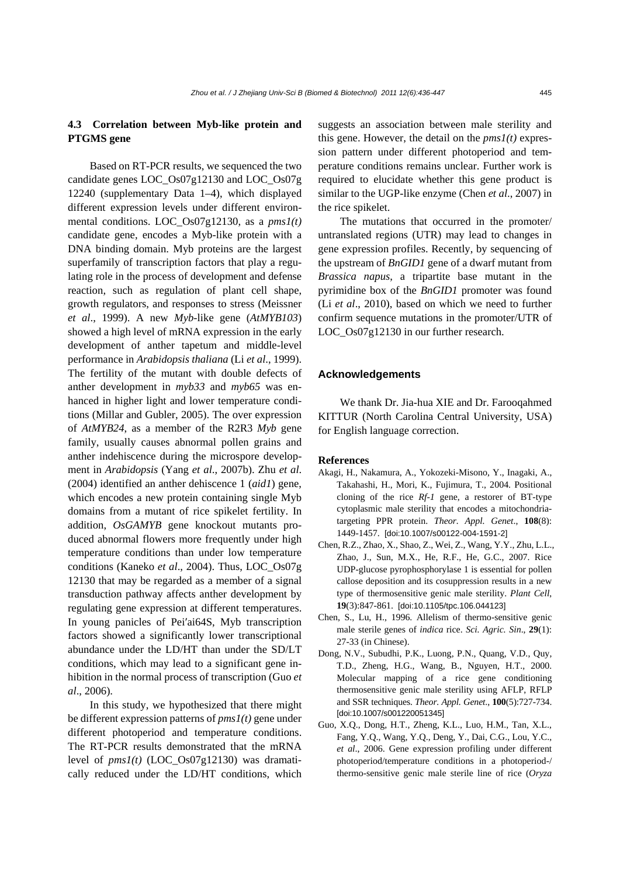# **4.3 Correlation between Myb-like protein and PTGMS gene**

Based on RT-PCR results, we sequenced the two candidate genes LOC\_Os07g12130 and LOC\_Os07g 12240 (supplementary Data 1–4), which displayed different expression levels under different environmental conditions. LOC\_Os07g12130, as a *pms1(t)* candidate gene, encodes a Myb-like protein with a DNA binding domain. Myb proteins are the largest superfamily of transcription factors that play a regulating role in the process of development and defense reaction, such as regulation of plant cell shape, growth regulators, and responses to stress (Meissner *et al*., 1999). A new *Myb*-like gene (*AtMYB103*) showed a high level of mRNA expression in the early development of anther tapetum and middle-level performance in *Arabidopsis thaliana* (Li *et al*., 1999). The fertility of the mutant with double defects of anther development in *myb33* and *myb65* was enhanced in higher light and lower temperature conditions (Millar and Gubler, 2005). The over expression of *AtMYB24*, as a member of the R2R3 *Myb* gene family, usually causes abnormal pollen grains and anther indehiscence during the microspore development in *Arabidopsis* (Yang *et al*., 2007b). Zhu *et al*. (2004) identified an anther dehiscence 1 (*aid1*) gene, which encodes a new protein containing single Myb domains from a mutant of rice spikelet fertility. In addition, *OsGAMYB* gene knockout mutants produced abnormal flowers more frequently under high temperature conditions than under low temperature conditions (Kaneko *et al*., 2004). Thus, LOC\_Os07g 12130 that may be regarded as a member of a signal transduction pathway affects anther development by regulating gene expression at different temperatures. In young panicles of Pei′ai64S, Myb transcription factors showed a significantly lower transcriptional abundance under the LD/HT than under the SD/LT conditions, which may lead to a significant gene inhibition in the normal process of transcription (Guo *et al*., 2006).

In this study, we hypothesized that there might be different expression patterns of *pms1(t)* gene under different photoperiod and temperature conditions. The RT-PCR results demonstrated that the mRNA level of *pms1(t)* (LOC\_Os07g12130) was dramatically reduced under the LD/HT conditions, which suggests an association between male sterility and this gene. However, the detail on the  $pms1(t)$  expression pattern under different photoperiod and temperature conditions remains unclear. Further work is required to elucidate whether this gene product is similar to the UGP-like enzyme (Chen *et al*., 2007) in the rice spikelet.

The mutations that occurred in the promoter/ untranslated regions (UTR) may lead to changes in gene expression profiles. Recently, by sequencing of the upstream of *BnGID1* gene of a dwarf mutant from *Brassica napus*, a tripartite base mutant in the pyrimidine box of the *BnGID1* promoter was found (Li *et al*., 2010), based on which we need to further confirm sequence mutations in the promoter/UTR of LOC\_Os07g12130 in our further research.

## **Acknowledgements**

We thank Dr. Jia-hua XIE and Dr. Farooqahmed KITTUR (North Carolina Central University, USA) for English language correction.

## **References**

- Akagi, H., Nakamura, A., Yokozeki-Misono, Y., Inagaki, A., Takahashi, H., Mori, K., Fujimura, T., 2004. Positional cloning of the rice *Rf-1* gene, a restorer of BT-type cytoplasmic male sterility that encodes a mitochondriatargeting PPR protein. *Theor. Appl. Genet*., **108**(8): 1449-1457. [doi:10.1007/s00122-004-1591-2]
- Chen, R.Z., Zhao, X., Shao, Z., Wei, Z., Wang, Y.Y., Zhu, L.L., Zhao, J., Sun, M.X., He, R.F., He, G.C., 2007. Rice UDP-glucose pyrophosphorylase 1 is essential for pollen callose deposition and its cosuppression results in a new type of thermosensitive genic male sterility. *Plant Cell*, **19**(3):847-861. [doi:10.1105/tpc.106.044123]
- Chen, S., Lu, H., 1996. Allelism of thermo-sensitive genic male sterile genes of *indica* rice. *Sci. Agric. Sin*., **29**(1): 27-33 (in Chinese).
- Dong, N.V., Subudhi, P.K., Luong, P.N., Quang, V.D., Quy, T.D., Zheng, H.G., Wang, B., Nguyen, H.T., 2000. Molecular mapping of a rice gene conditioning thermosensitive genic male sterility using AFLP, RFLP and SSR techniques. *Theor. Appl. Genet*., **100**(5):727-734. [doi:10.1007/s001220051345]
- Guo, X.Q., Dong, H.T., Zheng, K.L., Luo, H.M., Tan, X.L., Fang, Y.Q., Wang, Y.Q., Deng, Y., Dai, C.G., Lou, Y.C., *et al*., 2006. Gene expression profiling under different photoperiod/temperature conditions in a photoperiod-/ thermo-sensitive genic male sterile line of rice (*Oryza*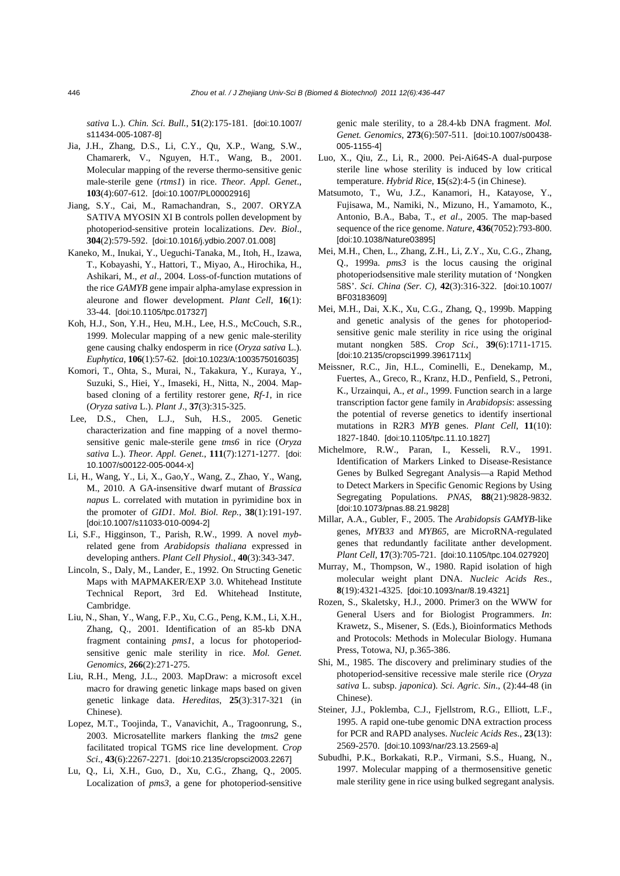*sativa* L.). *Chin. Sci. Bull.*, **51**(2):175-181. [doi:10.1007/ s11434-005-1087-8]

- Jia, J.H., Zhang, D.S., Li, C.Y., Qu, X.P., Wang, S.W., Chamarerk, V., Nguyen, H.T., Wang, B., 2001. Molecular mapping of the reverse thermo-sensitive genic male-sterile gene (*rtms1*) in rice. *Theor. Appl. Genet*., **103**(4):607-612. [doi:10.1007/PL00002916]
- Jiang, S.Y., Cai, M., Ramachandran, S., 2007. ORYZA SATIVA MYOSIN XI B controls pollen development by photoperiod-sensitive protein localizations. *Dev. Biol*., **304**(2):579-592. [doi:10.1016/j.ydbio.2007.01.008]
- Kaneko, M., Inukai, Y., Ueguchi-Tanaka, M., Itoh, H., Izawa, T., Kobayashi, Y., Hattori, T., Miyao, A., Hirochika, H., Ashikari, M., *et al*., 2004. Loss-of-function mutations of the rice *GAMYB* gene impair alpha-amylase expression in aleurone and flower development. *Plant Cell*, **16**(1): 33-44. [doi:10.1105/tpc.017327]
- Koh, H.J., Son, Y.H., Heu, M.H., Lee, H.S., McCouch, S.R., 1999. Molecular mapping of a new genic male-sterility gene causing chalky endosperm in rice (*Oryza sativa* L.). *Euphytica*, **106**(1):57-62. [doi:10.1023/A:1003575016035]
- Komori, T., Ohta, S., Murai, N., Takakura, Y., Kuraya, Y., Suzuki, S., Hiei, Y., Imaseki, H., Nitta, N., 2004. Mapbased cloning of a fertility restorer gene, *Rf-1*, in rice (*Oryza sativa* L.). *Plant J*., **37**(3):315-325.
- Lee, D.S., Chen, L.J., Suh, H.S., 2005. Genetic characterization and fine mapping of a novel thermosensitive genic male-sterile gene *tms6* in rice (*Oryza sativa* L.). *Theor. Appl. Genet.*, **111**(7):1271-1277. [doi: 10.1007/s00122-005-0044-x]
- Li, H., Wang, Y., Li, X., Gao,Y., Wang, Z., Zhao, Y., Wang, M., 2010. A GA-insensitive dwarf mutant of *Brassica napus* L. correlated with mutation in pyrimidine box in the promoter of *GID1*. *Mol. Biol. Rep.*, **38**(1):191-197. [doi:10.1007/s11033-010-0094-2]
- Li, S.F., Higginson, T., Parish, R.W., 1999. A novel *myb*related gene from *Arabidopsis thaliana* expressed in developing anthers. *Plant Cell Physiol.*, **40**(3):343-347.
- Lincoln, S., Daly, M., Lander, E., 1992. On Structing Genetic Maps with MAPMAKER/EXP 3.0. Whitehead Institute Technical Report, 3rd Ed. Whitehead Institute, Cambridge.
- Liu, N., Shan, Y., Wang, F.P., Xu, C.G., Peng, K.M., Li, X.H., Zhang, Q., 2001. Identification of an 85-kb DNA fragment containing *pms1*, a locus for photoperiodsensitive genic male sterility in rice. *Mol. Genet. Genomics*, **266**(2):271-275.
- Liu, R.H., Meng, J.L., 2003. MapDraw: a microsoft excel macro for drawing genetic linkage maps based on given genetic linkage data. *Hereditas*, **25**(3):317-321 (in Chinese).
- Lopez, M.T., Toojinda, T., Vanavichit, A., Tragoonrung, S., 2003. Microsatellite markers flanking the *tms2* gene facilitated tropical TGMS rice line development. *Crop Sci*., **43**(6):2267-2271. [doi:10.2135/cropsci2003.2267]
- Lu, Q., Li, X.H., Guo, D., Xu, C.G., Zhang, Q., 2005. Localization of *pms3*, a gene for photoperiod-sensitive

genic male sterility, to a 28.4-kb DNA fragment. *Mol. Genet. Genomics*, **273**(6):507-511. [doi:10.1007/s00438- 005-1155-4]

- Luo, X., Qiu, Z., Li, R., 2000. Pei-Ai64S-A dual-purpose sterile line whose sterility is induced by low critical temperature. *Hybrid Rice*, **15**(s2):4-5 (in Chinese).
- Matsumoto, T., Wu, J.Z., Kanamori, H., Katayose, Y., Fujisawa, M., Namiki, N., Mizuno, H., Yamamoto, K., Antonio, B.A., Baba, T., *et al*., 2005. The map-based sequence of the rice genome. *Nature*, **436**(7052):793-800. [doi:10.1038/Nature03895]
- Mei, M.H., Chen, L., Zhang, Z.H., Li, Z.Y., Xu, C.G., Zhang, Q., 1999a. *pms3* is the locus causing the original photoperiodsensitive male sterility mutation of 'Nongken 58S'. *Sci. China (Ser. C)*, **42**(3):316-322. [doi:10.1007/ BF03183609]
- Mei, M.H., Dai, X.K., Xu, C.G., Zhang, Q., 1999b. Mapping and genetic analysis of the genes for photoperiodsensitive genic male sterility in rice using the original mutant nongken 58S. *Crop Sci.*, **39**(6):1711-1715. [doi:10.2135/cropsci1999.3961711x]
- Meissner, R.C., Jin, H.L., Cominelli, E., Denekamp, M., Fuertes, A., Greco, R., Kranz, H.D., Penfield, S., Petroni, K., Urzainqui, A., *et al*., 1999. Function search in a large transcription factor gene family in *Arabidopsis*: assessing the potential of reverse genetics to identify insertional mutations in R2R3 *MYB* genes. *Plant Cell*, **11**(10): 1827-1840. [doi:10.1105/tpc.11.10.1827]
- Michelmore, R.W., Paran, I., Kesseli, R.V., 1991. Identification of Markers Linked to Disease-Resistance Genes by Bulked Segregant Analysis—a Rapid Method to Detect Markers in Specific Genomic Regions by Using Segregating Populations. *PNAS*, **88**(21):9828-9832. [doi:10.1073/pnas.88.21.9828]
- Millar, A.A., Gubler, F., 2005. The *Arabidopsis GAMYB*-like genes, *MYB33* and *MYB65*, are MicroRNA-regulated genes that redundantly facilitate anther development. *Plant Cell*, **17**(3):705-721. [doi:10.1105/tpc.104.027920]
- Murray, M., Thompson, W., 1980. Rapid isolation of high molecular weight plant DNA. *Nucleic Acids Res*., **8**(19):4321-4325. [doi:10.1093/nar/8.19.4321]
- Rozen, S., Skaletsky, H.J., 2000. Primer3 on the WWW for General Users and for Biologist Programmers. *In*: Krawetz, S., Misener, S. (Eds.), Bioinformatics Methods and Protocols: Methods in Molecular Biology. Humana Press, Totowa, NJ, p.365-386.
- Shi, M., 1985. The discovery and preliminary studies of the photoperiod-sensitive recessive male sterile rice (*Oryza sativa* L. subsp. *japonica*). *Sci. Agric. Sin*., (2):44-48 (in Chinese).
- Steiner, J.J., Poklemba, C.J., Fjellstrom, R.G., Elliott, L.F., 1995. A rapid one-tube genomic DNA extraction process for PCR and RAPD analyses. *Nucleic Acids Res*., **23**(13): 2569-2570. [doi:10.1093/nar/23.13.2569-a]
- Subudhi, P.K., Borkakati, R.P., Virmani, S.S., Huang, N., 1997. Molecular mapping of a thermosensitive genetic male sterility gene in rice using bulked segregant analysis.